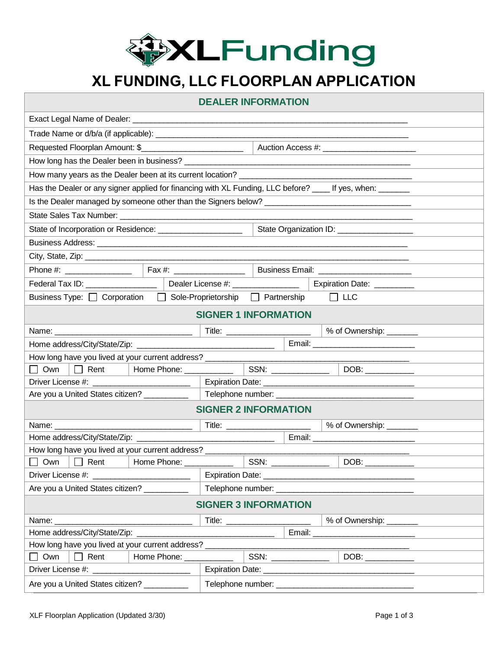

## **XL FUNDING, LLC FLOORPLAN APPLICATION**

| <b>DEALER INFORMATION</b>                                                                            |  |                                     |                |                         |                                                                                                           |
|------------------------------------------------------------------------------------------------------|--|-------------------------------------|----------------|-------------------------|-----------------------------------------------------------------------------------------------------------|
|                                                                                                      |  |                                     |                |                         |                                                                                                           |
|                                                                                                      |  |                                     |                |                         |                                                                                                           |
|                                                                                                      |  |                                     |                |                         |                                                                                                           |
|                                                                                                      |  |                                     |                |                         |                                                                                                           |
|                                                                                                      |  |                                     |                |                         |                                                                                                           |
|                                                                                                      |  |                                     |                |                         | Has the Dealer or any signer applied for financing with XL Funding, LLC before? ____ If yes, when: ______ |
|                                                                                                      |  |                                     |                |                         |                                                                                                           |
|                                                                                                      |  |                                     |                |                         |                                                                                                           |
| State of Incorporation or Residence: _______________________                                         |  |                                     |                |                         | State Organization ID: _________________                                                                  |
|                                                                                                      |  |                                     |                |                         |                                                                                                           |
|                                                                                                      |  |                                     |                |                         |                                                                                                           |
| Phone #: ________________________  Fax #: ____________________  Business Email: ____________________ |  |                                     |                |                         |                                                                                                           |
|                                                                                                      |  | Dealer License #: ________________  |                |                         | Expiration Date: _________                                                                                |
| Business Type: □ Corporation                                                                         |  | □ Sole-Proprietorship □ Partnership |                |                         | $\Box$ LLC                                                                                                |
|                                                                                                      |  | <b>SIGNER 1 INFORMATION</b>         |                |                         |                                                                                                           |
| % of Ownership: _______<br>Name: Name:                                                               |  |                                     |                |                         |                                                                                                           |
| Email: ___________________________                                                                   |  |                                     |                |                         |                                                                                                           |
| How long have you lived at your current address? _______________________________                     |  |                                     |                |                         |                                                                                                           |
| Rent   Home Phone: __________<br>Own                                                                 |  |                                     |                |                         |                                                                                                           |
|                                                                                                      |  |                                     |                |                         |                                                                                                           |
| Are you a United States citizen? ___________                                                         |  |                                     |                |                         |                                                                                                           |
| <b>SIGNER 2 INFORMATION</b>                                                                          |  |                                     |                |                         |                                                                                                           |
|                                                                                                      |  |                                     |                | % of Ownership: _______ |                                                                                                           |
|                                                                                                      |  |                                     |                |                         |                                                                                                           |
| How long have you lived at your current address? _________                                           |  |                                     |                |                         |                                                                                                           |
| $\Box$ Own $\Box$ Rent $\Box$ Home Phone: $\Box$                                                     |  |                                     | SSN: _________ |                         | DOB:                                                                                                      |
|                                                                                                      |  |                                     |                |                         |                                                                                                           |
| Are you a United States citizen? __________                                                          |  |                                     |                |                         |                                                                                                           |
| <b>SIGNER 3 INFORMATION</b>                                                                          |  |                                     |                |                         |                                                                                                           |
| Name: ____________                                                                                   |  |                                     |                |                         | % of Ownership: _______                                                                                   |
|                                                                                                      |  |                                     |                |                         |                                                                                                           |
| How long have you lived at your current address?<br>Home Phone: ____________                         |  |                                     |                |                         |                                                                                                           |
| $\Box$ Own<br>$\Box$ Rent                                                                            |  |                                     |                |                         |                                                                                                           |
| Driver License #: ________________________                                                           |  |                                     |                |                         |                                                                                                           |
| Are you a United States citizen? __________                                                          |  |                                     |                |                         |                                                                                                           |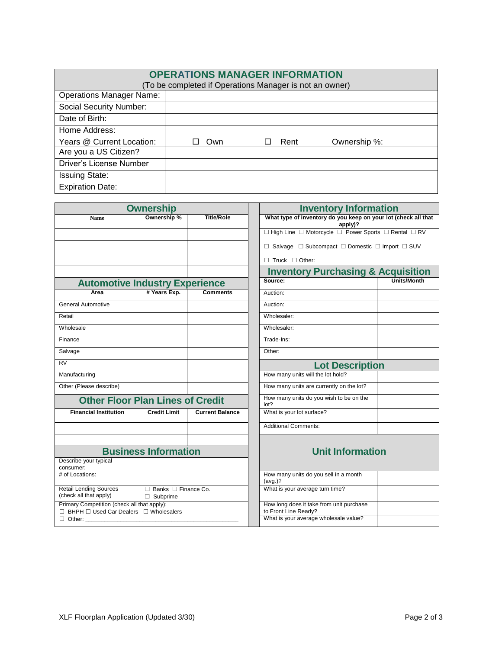| <b>OPERATIONS MANAGER INFORMATION</b><br>(To be completed if Operations Manager is not an owner) |     |      |              |  |
|--------------------------------------------------------------------------------------------------|-----|------|--------------|--|
| <b>Operations Manager Name:</b>                                                                  |     |      |              |  |
| <b>Social Security Number:</b>                                                                   |     |      |              |  |
| Date of Birth:                                                                                   |     |      |              |  |
| Home Address:                                                                                    |     |      |              |  |
| Years @ Current Location:                                                                        | Own | Rent | Ownership %: |  |
| Are you a US Citizen?                                                                            |     |      |              |  |
| Driver's License Number                                                                          |     |      |              |  |
| <b>Issuing State:</b>                                                                            |     |      |              |  |
| <b>Expiration Date:</b>                                                                          |     |      |              |  |

| <b>Ownership</b>                                                                       |                                                    | <b>Inventory Information</b>                                     |                                                                                |                    |
|----------------------------------------------------------------------------------------|----------------------------------------------------|------------------------------------------------------------------|--------------------------------------------------------------------------------|--------------------|
| <b>Name</b>                                                                            | Ownership %                                        | <b>Title/Role</b>                                                | What type of inventory do you keep on your lot (check all that<br>$apply$ ?    |                    |
|                                                                                        |                                                    |                                                                  | $\Box$ High Line $\Box$ Motorcycle $\Box$ Power Sports $\Box$ Rental $\Box$ RV |                    |
|                                                                                        |                                                    |                                                                  | $\Box$ Salvage $\Box$ Subcompact $\Box$ Domestic $\Box$ Import $\Box$ SUV      |                    |
|                                                                                        |                                                    |                                                                  | $\Box$ Truck $\Box$ Other:                                                     |                    |
|                                                                                        |                                                    |                                                                  | <b>Inventory Purchasing &amp; Acquisition</b>                                  |                    |
| <b>Automotive Industry Experience</b>                                                  |                                                    |                                                                  | Source:                                                                        | <b>Units/Month</b> |
| Area                                                                                   | # Years Exp.                                       | <b>Comments</b>                                                  | Auction:                                                                       |                    |
| <b>General Automotive</b>                                                              |                                                    |                                                                  | Auction:                                                                       |                    |
| Retail                                                                                 |                                                    |                                                                  | Wholesaler:                                                                    |                    |
| Wholesale                                                                              |                                                    |                                                                  | Wholesaler:                                                                    |                    |
| Finance                                                                                |                                                    |                                                                  | Trade-Ins:                                                                     |                    |
| Salvage                                                                                |                                                    |                                                                  | Other:                                                                         |                    |
| <b>RV</b>                                                                              |                                                    |                                                                  | <b>Lot Description</b>                                                         |                    |
| Manufacturing                                                                          |                                                    |                                                                  | How many units will the lot hold?                                              |                    |
| Other (Please describe)                                                                |                                                    |                                                                  | How many units are currently on the lot?                                       |                    |
|                                                                                        | <b>Other Floor Plan Lines of Credit</b>            |                                                                  | How many units do you wish to be on the<br>lot?                                |                    |
| <b>Financial Institution</b>                                                           | <b>Credit Limit</b>                                | <b>Current Balance</b>                                           | What is your lot surface?                                                      |                    |
|                                                                                        |                                                    |                                                                  | <b>Additional Comments:</b>                                                    |                    |
|                                                                                        |                                                    |                                                                  |                                                                                |                    |
| Describe your typical                                                                  | <b>Business Information</b>                        |                                                                  | <b>Unit Information</b>                                                        |                    |
| consumer:                                                                              |                                                    |                                                                  |                                                                                |                    |
| # of Locations:                                                                        |                                                    |                                                                  | How many units do you sell in a month<br>(avg.)?                               |                    |
| <b>Retail Lending Sources</b><br>(check all that apply)                                | $\Box$ Banks $\Box$ Finance Co.<br>$\Box$ Subprime |                                                                  | What is your average turn time?                                                |                    |
| Primary Competition (check all that apply):<br>□ BHPH □ Used Car Dealers □ Wholesalers |                                                    | How long does it take from unit purchase<br>to Front Line Ready? |                                                                                |                    |
| $\Box$ Other:                                                                          |                                                    | What is your average wholesale value?                            |                                                                                |                    |

| <b>Inventory Information</b>                                                |             |  |  |
|-----------------------------------------------------------------------------|-------------|--|--|
| What type of inventory do you keep on your lot (check all that<br>$apply$ ? |             |  |  |
| □ High Line □ Motorcycle □ Power Sports □ Rental □ RV                       |             |  |  |
| $\Box$ Salvage $\Box$ Subcompact $\Box$ Domestic $\Box$ Import $\Box$ SUV   |             |  |  |
| $\Box$ Truck $\Box$ Other:                                                  |             |  |  |
| <b>Inventory Purchasing &amp; Acquisition</b>                               |             |  |  |
| Source:                                                                     | Units/Month |  |  |
| Auction:                                                                    |             |  |  |
| Auction:                                                                    |             |  |  |
| Wholesaler:                                                                 |             |  |  |
| Wholesaler <sup>.</sup>                                                     |             |  |  |
| Trade-Ins:                                                                  |             |  |  |
| Other:                                                                      |             |  |  |
| <b>Lot Description</b>                                                      |             |  |  |
| How many units will the lot hold?                                           |             |  |  |
| How many units are currently on the lot?                                    |             |  |  |
| How many units do you wish to be on the<br>lot?                             |             |  |  |
| What is your lot surface?                                                   |             |  |  |
| <b>Additional Comments:</b>                                                 |             |  |  |
| <b>Unit Information</b>                                                     |             |  |  |

| How many units do you sell in a month<br>(avg.)?                 |  |
|------------------------------------------------------------------|--|
| What is your average turn time?                                  |  |
| How long does it take from unit purchase<br>to Front Line Ready? |  |
| What is your average wholesale value?                            |  |